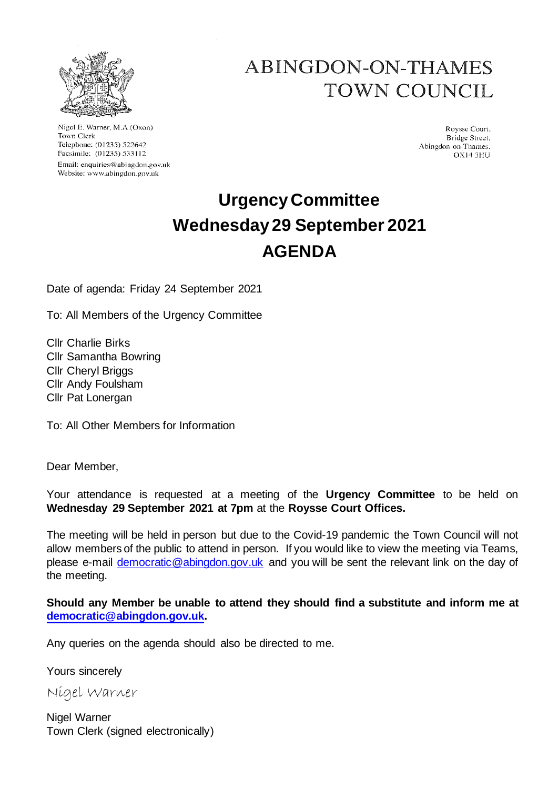

Nigel E. Warner, M.A.(Oxon) Town Clerk Telephone: (01235) 522642 Facsimile: (01235) 533112 Email: enquiries@abingdon.gov.uk Website: www.abingdon.gov.uk

# **ABINGDON-ON-THAMES TOWN COUNCIL**

Roysse Court, Bridge Street, Abingdon-on-Thames. OX143HU

# **Urgency Committee Wednesday 29 September 2021 AGENDA**

Date of agenda: Friday 24 September 2021

To: All Members of the Urgency Committee

Cllr Charlie Birks Cllr Samantha Bowring Cllr Cheryl Briggs Cllr Andy Foulsham Cllr Pat Lonergan

To: All Other Members for Information

Dear Member,

Your attendance is requested at a meeting of the **Urgency Committee** to be held on **Wednesday 29 September 2021 at 7pm** at the **Roysse Court Offices.**

The meeting will be held in person but due to the Covid-19 pandemic the Town Council will not allow members of the public to attend in person. If you would like to view the meeting via Teams, please e-mail democratic@abingdon.gov.uk and you will be sent the relevant link on the day of the meeting.

**Should any Member be unable to attend they should find a substitute and inform me at democratic@abingdon.gov.uk.**

Any queries on the agenda should also be directed to me.

Yours sincerely

Nigel Warner

Nigel Warner Town Clerk (signed electronically)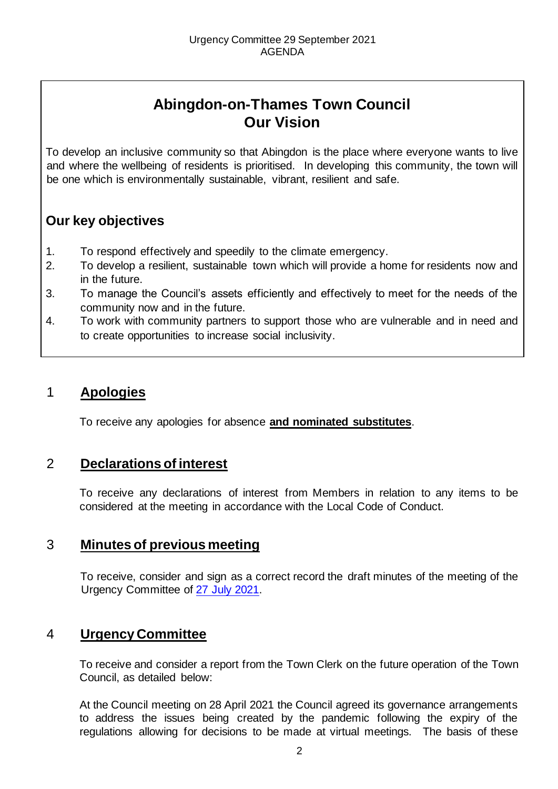# **Abingdon-on-Thames Town Council Our Vision**

To develop an inclusive community so that Abingdon is the place where everyone wants to live and where the wellbeing of residents is prioritised. In developing this community, the town will be one which is environmentally sustainable, vibrant, resilient and safe.

# **Our key objectives**

- 1. To respond effectively and speedily to the climate emergency.
- 2. To develop a resilient, sustainable town which will provide a home for residents now and in the future.
- 3. To manage the Council's assets efficiently and effectively to meet for the needs of the community now and in the future.
- 4. To work with community partners to support those who are vulnerable and in need and to create opportunities to increase social inclusivity.

# 1 **Apologies**

To receive any apologies for absence **and nominated substitutes**.

# 2 **Declarations of interest**

To receive any declarations of interest from Members in relation to any items to be considered at the meeting in accordance with the Local Code of Conduct.

# 3 **Minutes of previous meeting**

To receive, consider and sign as a correct record the draft minutes of the meeting of the Urgency Committee of [27 July 2021.](https://www.abingdon.gov.uk/wp-content/uploads/2021/07/Urgency-Committee-27.7.21-Draft-Minutes.pdf)

# 4 **Urgency Committee**

To receive and consider a report from the Town Clerk on the future operation of the Town Council, as detailed below:

At the Council meeting on 28 April 2021 the Council agreed its governance arrangements to address the issues being created by the pandemic following the expiry of the regulations allowing for decisions to be made at virtual meetings. The basis of these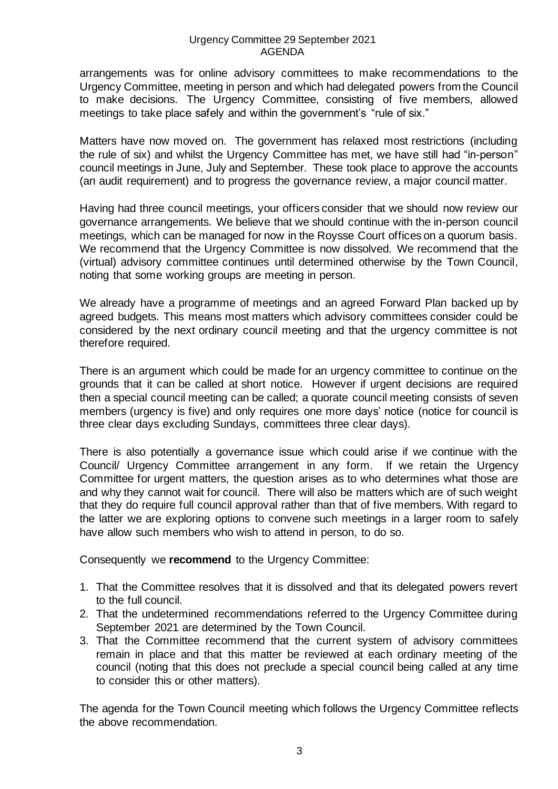#### Urgency Committee 29 September 2021 AGENDA

arrangements was for online advisory committees to make recommendations to the Urgency Committee, meeting in person and which had delegated powers from the Council to make decisions. The Urgency Committee, consisting of five members, allowed meetings to take place safely and within the government's "rule of six."

Matters have now moved on. The government has relaxed most restrictions (including the rule of six) and whilst the Urgency Committee has met, we have still had "in-person" council meetings in June, July and September. These took place to approve the accounts (an audit requirement) and to progress the governance review, a major council matter.

Having had three council meetings, your officers consider that we should now review our governance arrangements. We believe that we should continue with the in-person council meetings, which can be managed for now in the Roysse Court offices on a quorum basis. We recommend that the Urgency Committee is now dissolved. We recommend that the (virtual) advisory committee continues until determined otherwise by the Town Council, noting that some working groups are meeting in person.

We already have a programme of meetings and an agreed Forward Plan backed up by agreed budgets. This means most matters which advisory committees consider could be considered by the next ordinary council meeting and that the urgency committee is not therefore required.

There is an argument which could be made for an urgency committee to continue on the grounds that it can be called at short notice. However if urgent decisions are required then a special council meeting can be called; a quorate council meeting consists of seven members (urgency is five) and only requires one more days' notice (notice for council is three clear days excluding Sundays, committees three clear days).

There is also potentially a governance issue which could arise if we continue with the Council/ Urgency Committee arrangement in any form. If we retain the Urgency Committee for urgent matters, the question arises as to who determines what those are and why they cannot wait for council. There will also be matters which are of such weight that they do require full council approval rather than that of five members. With regard to the latter we are exploring options to convene such meetings in a larger room to safely have allow such members who wish to attend in person, to do so.

Consequently we **recommend** to the Urgency Committee:

- 1. That the Committee resolves that it is dissolved and that its delegated powers revert to the full council.
- 2. That the undetermined recommendations referred to the Urgency Committee during September 2021 are determined by the Town Council.
- 3. That the Committee recommend that the current system of advisory committees remain in place and that this matter be reviewed at each ordinary meeting of the council (noting that this does not preclude a special council being called at any time to consider this or other matters).

The agenda for the Town Council meeting which follows the Urgency Committee reflects the above recommendation.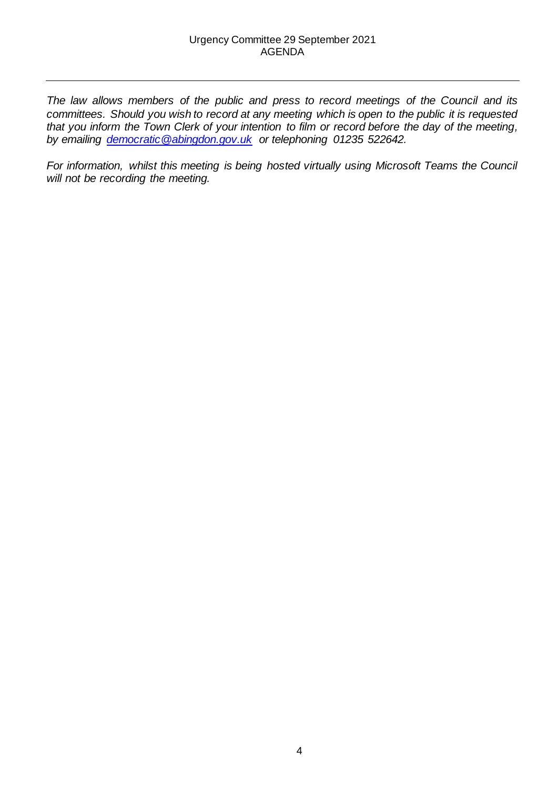*The law allows members of the public and press to record meetings of the Council and its committees. Should you wish to record at any meeting which is open to the public it is requested that you inform the Town Clerk of your intention to film or record before the day of the meeting, by emailing democratic@abingdon.gov.uk or telephoning 01235 522642.* 

*For information, whilst this meeting is being hosted virtually using Microsoft Teams the Council will not be recording the meeting.*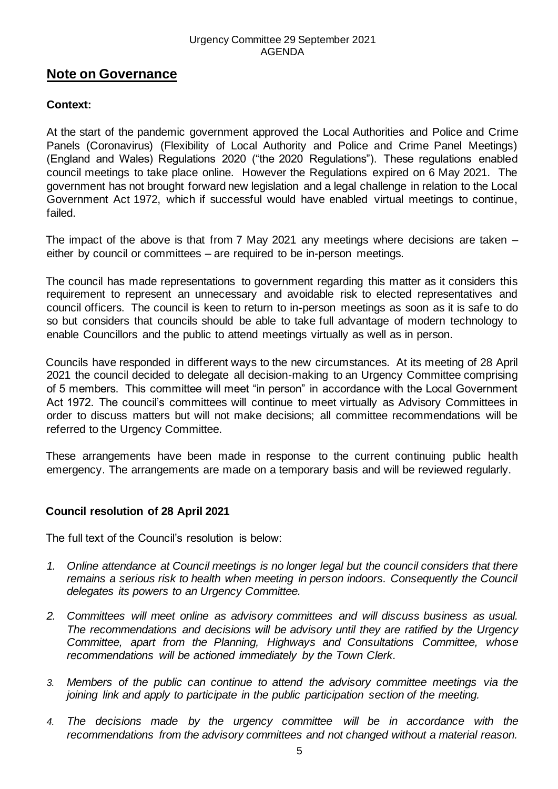#### Urgency Committee 29 September 2021 AGENDA

## **Note on Governance**

## **Context:**

At the start of the pandemic government approved the Local Authorities and Police and Crime Panels (Coronavirus) (Flexibility of Local Authority and Police and Crime Panel Meetings) (England and Wales) Regulations 2020 ("the 2020 Regulations"). These regulations enabled council meetings to take place online. However the Regulations expired on 6 May 2021. The government has not brought forward new legislation and a legal challenge in relation to the Local Government Act 1972, which if successful would have enabled virtual meetings to continue, failed.

The impact of the above is that from 7 May 2021 any meetings where decisions are taken – either by council or committees – are required to be in-person meetings.

The council has made representations to government regarding this matter as it considers this requirement to represent an unnecessary and avoidable risk to elected representatives and council officers. The council is keen to return to in-person meetings as soon as it is safe to do so but considers that councils should be able to take full advantage of modern technology to enable Councillors and the public to attend meetings virtually as well as in person.

Councils have responded in different ways to the new circumstances. At its meeting of 28 April 2021 the council decided to delegate all decision-making to an Urgency Committee comprising of 5 members. This committee will meet "in person" in accordance with the Local Government Act 1972. The council's committees will continue to meet virtually as Advisory Committees in order to discuss matters but will not make decisions; all committee recommendations will be referred to the Urgency Committee.

These arrangements have been made in response to the current continuing public health emergency. The arrangements are made on a temporary basis and will be reviewed regularly.

## **Council resolution of 28 April 2021**

The full text of the Council's resolution is below:

- *1. Online attendance at Council meetings is no longer legal but the council considers that there remains a serious risk to health when meeting in person indoors. Consequently the Council delegates its powers to an Urgency Committee.*
- *2. Committees will meet online as advisory committees and will discuss business as usual. The recommendations and decisions will be advisory until they are ratified by the Urgency Committee, apart from the Planning, Highways and Consultations Committee, whose recommendations will be actioned immediately by the Town Clerk.*
- *3. Members of the public can continue to attend the advisory committee meetings via the joining link and apply to participate in the public participation section of the meeting.*
- *4. The decisions made by the urgency committee will be in accordance with the recommendations from the advisory committees and not changed without a material reason.*